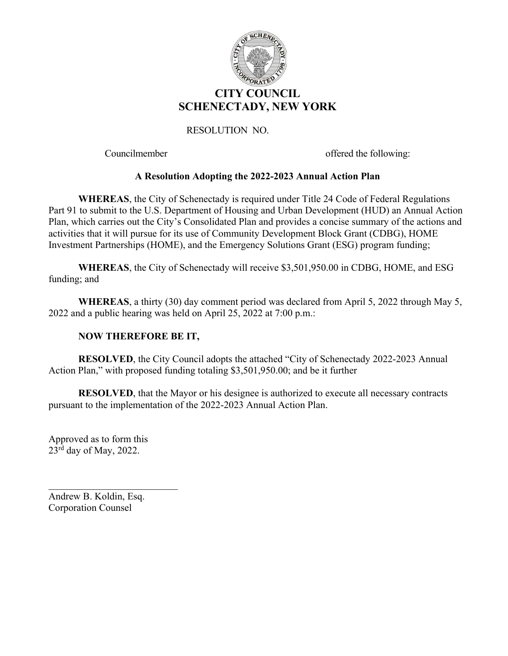

Councilmember offered the following:

# **A Resolution Adopting the 2022-2023 Annual Action Plan**

**WHEREAS**, the City of Schenectady is required under Title 24 Code of Federal Regulations Part 91 to submit to the U.S. Department of Housing and Urban Development (HUD) an Annual Action Plan, which carries out the City's Consolidated Plan and provides a concise summary of the actions and activities that it will pursue for its use of Community Development Block Grant (CDBG), HOME Investment Partnerships (HOME), and the Emergency Solutions Grant (ESG) program funding;

**WHEREAS**, the City of Schenectady will receive \$3,501,950.00 in CDBG, HOME, and ESG funding; and

**WHEREAS**, a thirty (30) day comment period was declared from April 5, 2022 through May 5, 2022 and a public hearing was held on April 25, 2022 at 7:00 p.m.:

# **NOW THEREFORE BE IT,**

**RESOLVED**, the City Council adopts the attached "City of Schenectady 2022-2023 Annual Action Plan," with proposed funding totaling \$3,501,950.00; and be it further

**RESOLVED**, that the Mayor or his designee is authorized to execute all necessary contracts pursuant to the implementation of the 2022-2023 Annual Action Plan.

Approved as to form this  $23<sup>rd</sup>$  day of May, 2022.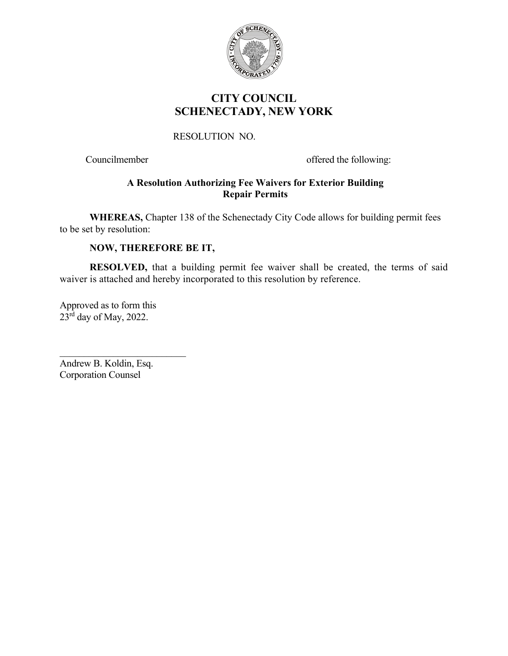

# **CITY COUNCIL SCHENECTADY, NEW YORK**

# RESOLUTION NO.

Councilmember offered the following:

# **A Resolution Authorizing Fee Waivers for Exterior Building Repair Permits**

**WHEREAS,** Chapter 138 of the Schenectady City Code allows for building permit fees to be set by resolution:

# **NOW, THEREFORE BE IT,**

**RESOLVED,** that a building permit fee waiver shall be created, the terms of said waiver is attached and hereby incorporated to this resolution by reference.

Approved as to form this  $23^{\text{rd}}$  day of May, 2022.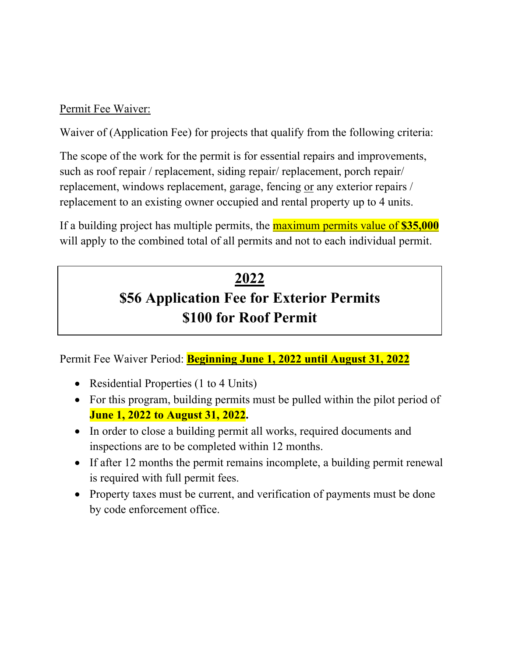# Permit Fee Waiver:

Waiver of (Application Fee) for projects that qualify from the following criteria:

The scope of the work for the permit is for essential repairs and improvements, such as roof repair / replacement, siding repair/ replacement, porch repair/ replacement, windows replacement, garage, fencing or any exterior repairs / replacement to an existing owner occupied and rental property up to 4 units.

If a building project has multiple permits, the maximum permits value of **\$35,000** will apply to the combined total of all permits and not to each individual permit.

# **2022 \$56 Application Fee for Exterior Permits \$100 for Roof Permit**

Permit Fee Waiver Period: **Beginning June 1, 2022 until August 31, 2022** 

- Residential Properties (1 to 4 Units)
- For this program, building permits must be pulled within the pilot period of **June 1, 2022 to August 31, 2022.**
- In order to close a building permit all works, required documents and inspections are to be completed within 12 months.
- If after 12 months the permit remains incomplete, a building permit renewal is required with full permit fees.
- Property taxes must be current, and verification of payments must be done by code enforcement office.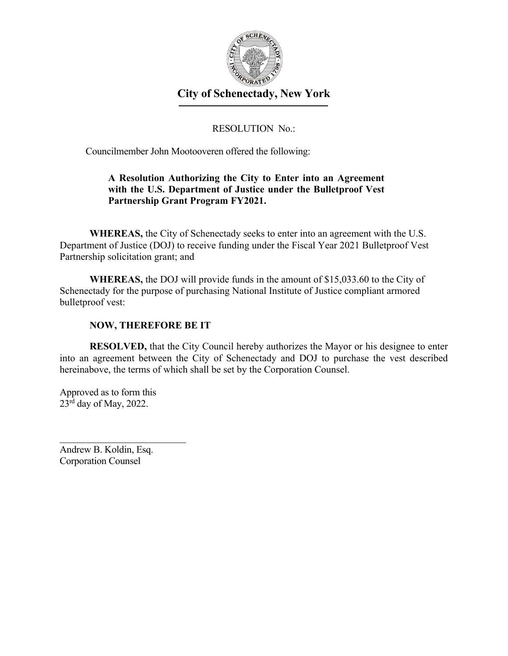

# RESOLUTION No.:

Councilmember John Mootooveren offered the following:

# **A Resolution Authorizing the City to Enter into an Agreement with the U.S. Department of Justice under the Bulletproof Vest Partnership Grant Program FY2021.**

**WHEREAS,** the City of Schenectady seeks to enter into an agreement with the U.S. Department of Justice (DOJ) to receive funding under the Fiscal Year 2021 Bulletproof Vest Partnership solicitation grant; and

**WHEREAS,** the DOJ will provide funds in the amount of \$15,033.60 to the City of Schenectady for the purpose of purchasing National Institute of Justice compliant armored bulletproof vest:

#### **NOW, THEREFORE BE IT**

**RESOLVED,** that the City Council hereby authorizes the Mayor or his designee to enter into an agreement between the City of Schenectady and DOJ to purchase the vest described hereinabove, the terms of which shall be set by the Corporation Counsel.

Approved as to form this  $23<sup>rd</sup>$  day of May, 2022.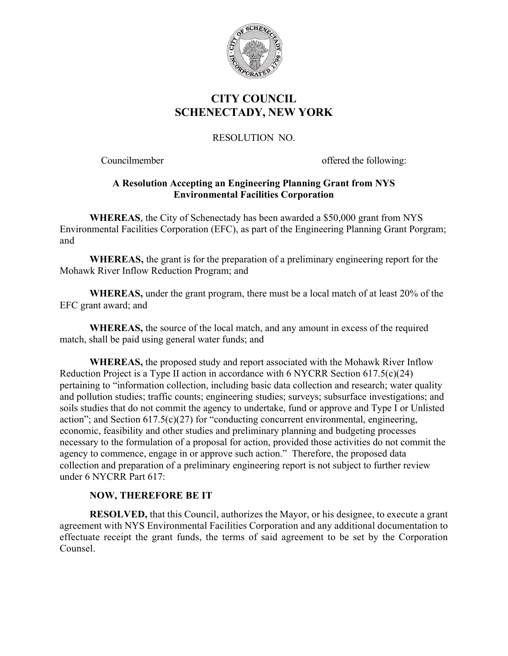

# **CITY COUNCIL SCHENECTADY, NEW YORK**

# RESOLUTION NO.

Councilmember offered the following:

# **A Resolution Accepting an Engineering Planning Grant from NYS Environmental Facilities Corporation**

**WHEREAS**, the City of Schenectady has been awarded a \$50,000 grant from NYS Environmental Facilities Corporation (EFC), as part of the Engineering Planning Grant Porgram; and

**WHEREAS,** the grant is for the preparation of a preliminary engineering report for the Mohawk River Inflow Reduction Program; and

**WHEREAS,** under the grant program, there must be a local match of at least 20% of the EFC grant award; and

**WHEREAS,** the source of the local match, and any amount in excess of the required match, shall be paid using general water funds; and

**WHEREAS,** the proposed study and report associated with the Mohawk River Inflow Reduction Project is a Type II action in accordance with 6 NYCRR Section 617.5(c)(24) pertaining to "information collection, including basic data collection and research; water quality and pollution studies; traffic counts; engineering studies; surveys; subsurface investigations; and soils studies that do not commit the agency to undertake, fund or approve and Type I or Unlisted action"; and Section  $617.5(c)(27)$  for "conducting concurrent environmental, engineering, economic, feasibility and other studies and preliminary planning and budgeting processes necessary to the formulation of a proposal for action, provided those activities do not commit the agency to commence, engage in or approve such action." Therefore, the proposed data collection and preparation of a preliminary engineering report is not subject to further review under 6 NYCRR Part 617:

# **NOW, THEREFORE BE IT**

**RESOLVED,** that this Council, authorizes the Mayor, or his designee, to execute a grant agreement with NYS Environmental Facilities Corporation and any additional documentation to effectuate receipt the grant funds, the terms of said agreement to be set by the Corporation Counsel.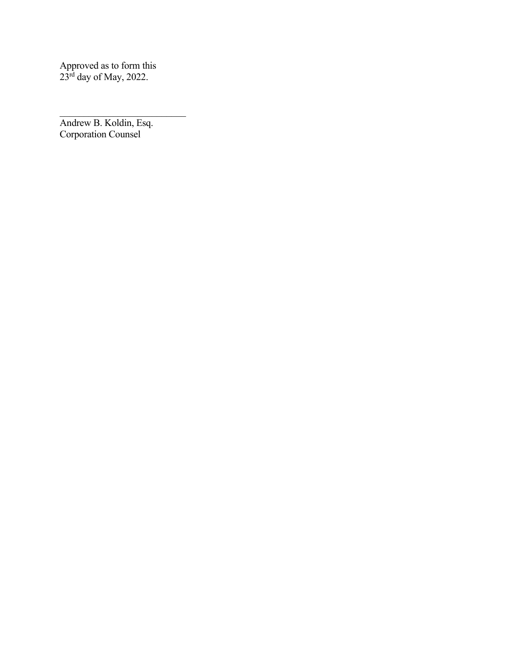Approved as to form this  $23<sup>rd</sup>$  day of May, 2022.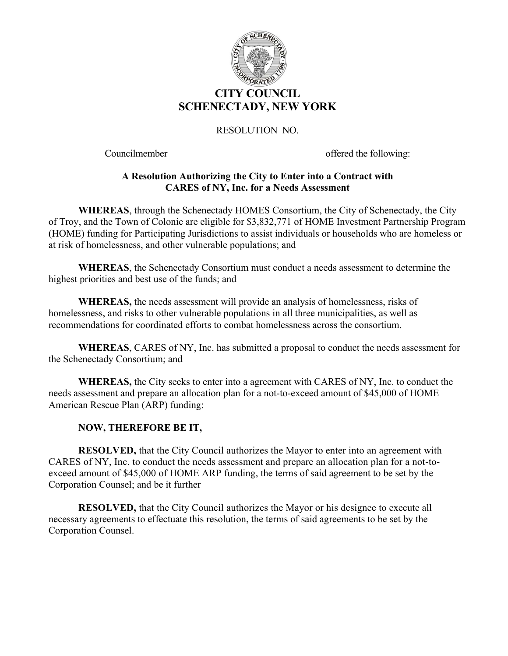

Councilmember offered the following:

#### **A Resolution Authorizing the City to Enter into a Contract with CARES of NY, Inc. for a Needs Assessment**

**WHEREAS**, through the Schenectady HOMES Consortium, the City of Schenectady, the City of Troy, and the Town of Colonie are eligible for \$3,832,771 of HOME Investment Partnership Program (HOME) funding for Participating Jurisdictions to assist individuals or households who are homeless or at risk of homelessness, and other vulnerable populations; and

 **WHEREAS**, the Schenectady Consortium must conduct a needs assessment to determine the highest priorities and best use of the funds; and

**WHEREAS,** the needs assessment will provide an analysis of homelessness, risks of homelessness, and risks to other vulnerable populations in all three municipalities, as well as recommendations for coordinated efforts to combat homelessness across the consortium.

**WHEREAS**, CARES of NY, Inc. has submitted a proposal to conduct the needs assessment for the Schenectady Consortium; and

**WHEREAS,** the City seeks to enter into a agreement with CARES of NY, Inc. to conduct the needs assessment and prepare an allocation plan for a not-to-exceed amount of \$45,000 of HOME American Rescue Plan (ARP) funding:

# **NOW, THEREFORE BE IT,**

**RESOLVED,** that the City Council authorizes the Mayor to enter into an agreement with CARES of NY, Inc. to conduct the needs assessment and prepare an allocation plan for a not-toexceed amount of \$45,000 of HOME ARP funding, the terms of said agreement to be set by the Corporation Counsel; and be it further

**RESOLVED,** that the City Council authorizes the Mayor or his designee to execute all necessary agreements to effectuate this resolution, the terms of said agreements to be set by the Corporation Counsel.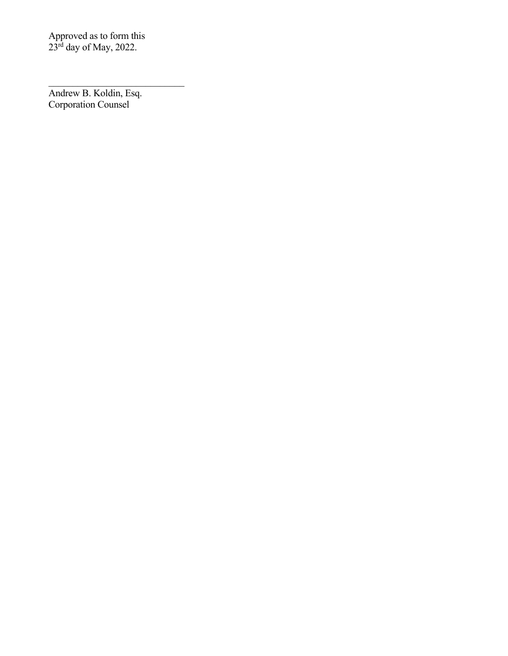Approved as to form this  $23^{\text{rd}}$  day of May, 2022.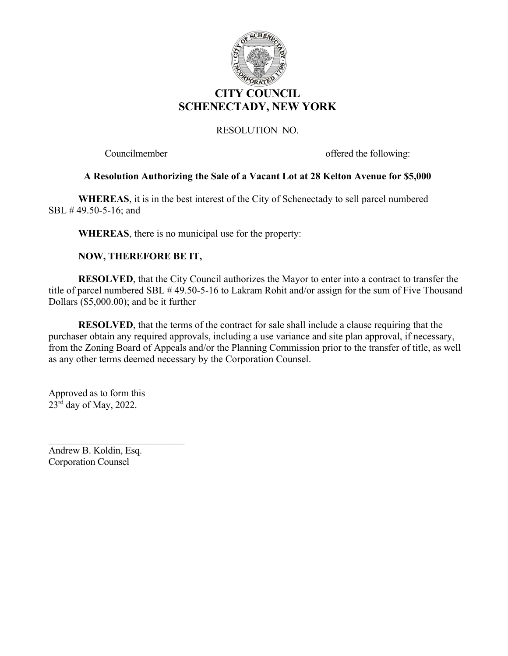

Councilmember offered the following:

#### **A Resolution Authorizing the Sale of a Vacant Lot at 28 Kelton Avenue for \$5,000**

**WHEREAS**, it is in the best interest of the City of Schenectady to sell parcel numbered SBL # 49.50-5-16; and

 **WHEREAS**, there is no municipal use for the property:

#### **NOW, THEREFORE BE IT,**

 **RESOLVED**, that the City Council authorizes the Mayor to enter into a contract to transfer the title of parcel numbered SBL # 49.50-5-16 to Lakram Rohit and/or assign for the sum of Five Thousand Dollars (\$5,000.00); and be it further

**RESOLVED**, that the terms of the contract for sale shall include a clause requiring that the purchaser obtain any required approvals, including a use variance and site plan approval, if necessary, from the Zoning Board of Appeals and/or the Planning Commission prior to the transfer of title, as well as any other terms deemed necessary by the Corporation Counsel.

 Approved as to form this  $23^{\overline{rd}}$  day of May, 2022.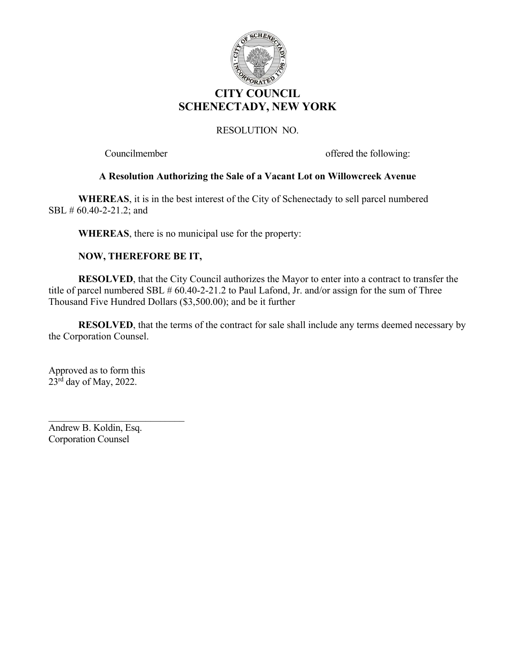

Councilmember offered the following:

#### **A Resolution Authorizing the Sale of a Vacant Lot on Willowcreek Avenue**

**WHEREAS**, it is in the best interest of the City of Schenectady to sell parcel numbered SBL # 60.40-2-21.2; and

 **WHEREAS**, there is no municipal use for the property:

#### **NOW, THEREFORE BE IT,**

 **RESOLVED**, that the City Council authorizes the Mayor to enter into a contract to transfer the title of parcel numbered SBL # 60.40-2-21.2 to Paul Lafond, Jr. and/or assign for the sum of Three Thousand Five Hundred Dollars (\$3,500.00); and be it further

**RESOLVED**, that the terms of the contract for sale shall include any terms deemed necessary by the Corporation Counsel.

 Approved as to form this  $23^{\overline{rd}}$  day of May, 2022.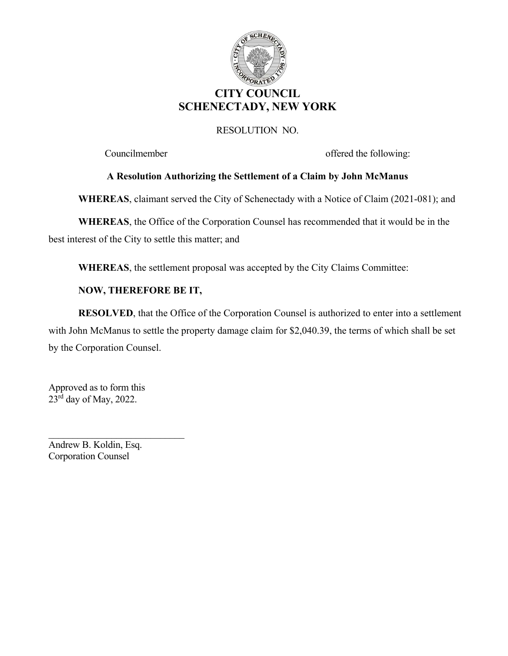

Councilmember offered the following:

# **A Resolution Authorizing the Settlement of a Claim by John McManus**

**WHEREAS**, claimant served the City of Schenectady with a Notice of Claim (2021-081); and

 **WHEREAS**, the Office of the Corporation Counsel has recommended that it would be in the best interest of the City to settle this matter; and

**WHEREAS**, the settlement proposal was accepted by the City Claims Committee:

# **NOW, THEREFORE BE IT,**

 **RESOLVED**, that the Office of the Corporation Counsel is authorized to enter into a settlement with John McManus to settle the property damage claim for \$2,040.39, the terms of which shall be set by the Corporation Counsel.

 Approved as to form this  $23<sup>rd</sup>$  day of May, 2022.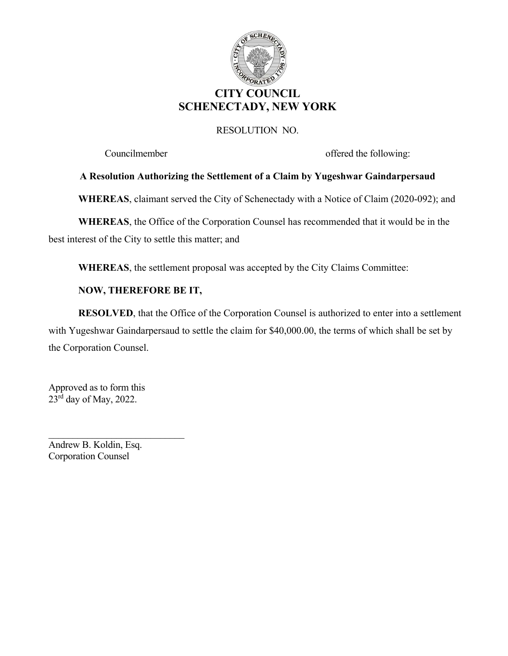

Councilmember offered the following:

#### **A Resolution Authorizing the Settlement of a Claim by Yugeshwar Gaindarpersaud**

**WHEREAS**, claimant served the City of Schenectady with a Notice of Claim (2020-092); and

 **WHEREAS**, the Office of the Corporation Counsel has recommended that it would be in the best interest of the City to settle this matter; and

**WHEREAS**, the settlement proposal was accepted by the City Claims Committee:

#### **NOW, THEREFORE BE IT,**

 **RESOLVED**, that the Office of the Corporation Counsel is authorized to enter into a settlement with Yugeshwar Gaindarpersaud to settle the claim for \$40,000.00, the terms of which shall be set by the Corporation Counsel.

 Approved as to form this  $23<sup>rd</sup>$  day of May, 2022.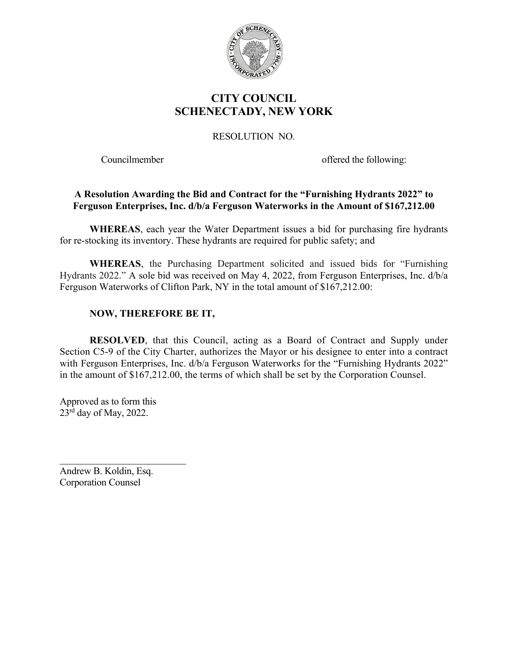

# **CITY COUNCIL SCHENECTADY, NEW YORK**

RESOLUTION NO.

Councilmember offered the following:

# **A Resolution Awarding the Bid and Contract for the "Furnishing Hydrants 2022" to Ferguson Enterprises, Inc. d/b/a Ferguson Waterworks in the Amount of \$167,212.00**

**WHEREAS**, each year the Water Department issues a bid for purchasing fire hydrants for re-stocking its inventory. These hydrants are required for public safety; and

**WHEREAS**, the Purchasing Department solicited and issued bids for "Furnishing Hydrants 2022." A sole bid was received on May 4, 2022, from Ferguson Enterprises, Inc. d/b/a Ferguson Waterworks of Clifton Park, NY in the total amount of \$167,212.00:

# **NOW, THEREFORE BE IT,**

**RESOLVED**, that this Council, acting as a Board of Contract and Supply under Section C5-9 of the City Charter, authorizes the Mayor or his designee to enter into a contract with Ferguson Enterprises, Inc. d/b/a Ferguson Waterworks for the "Furnishing Hydrants 2022" in the amount of \$167,212.00, the terms of which shall be set by the Corporation Counsel.

Approved as to form this  $23<sup>rd</sup>$  day of May, 2022.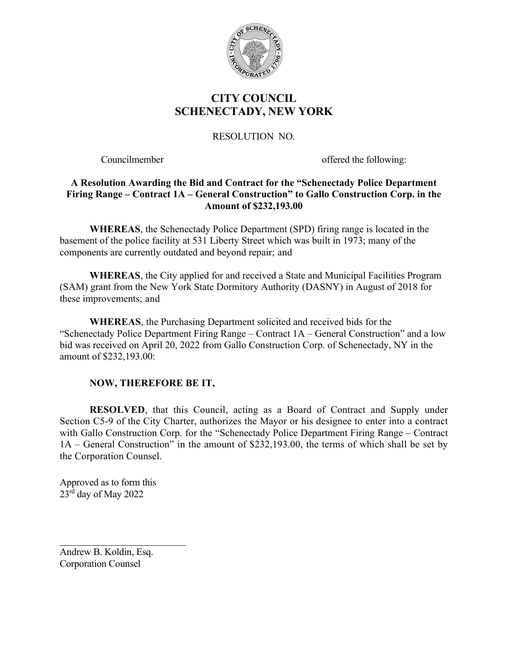

# **CITY COUNCIL SCHENECTADY, NEW YORK**

# RESOLUTION NO.

Councilmember offered the following:

# **A Resolution Awarding the Bid and Contract for the "Schenectady Police Department Firing Range – Contract 1A – General Construction" to Gallo Construction Corp. in the Amount of \$232,193.00**

**WHEREAS**, the Schenectady Police Department (SPD) firing range is located in the basement of the police facility at 531 Liberty Street which was built in 1973; many of the components are currently outdated and beyond repair; and

**WHEREAS**, the City applied for and received a State and Municipal Facilities Program (SAM) grant from the New York State Dormitory Authority (DASNY) in August of 2018 for these improvements; and

**WHEREAS**, the Purchasing Department solicited and received bids for the "Schenectady Police Department Firing Range – Contract 1A – General Construction" and a low bid was received on April 20, 2022 from Gallo Construction Corp. of Schenectady, NY in the amount of \$232,193.00:

# **NOW, THEREFORE BE IT,**

**RESOLVED**, that this Council, acting as a Board of Contract and Supply under Section C5-9 of the City Charter, authorizes the Mayor or his designee to enter into a contract with Gallo Construction Corp. for the "Schenectady Police Department Firing Range – Contract 1A – General Construction" in the amount of \$232,193.00, the terms of which shall be set by the Corporation Counsel.

Approved as to form this 23rd day of May 2022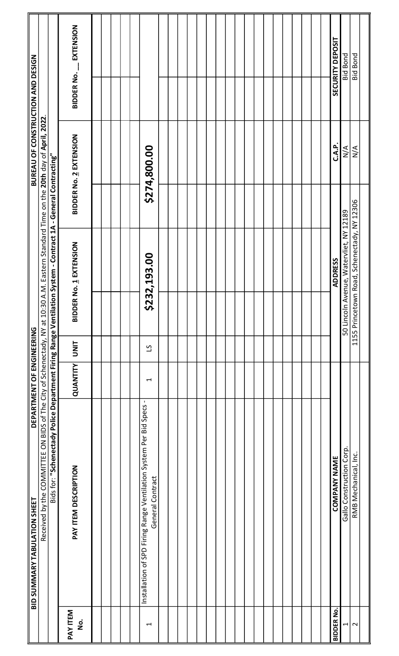|                                | <b>BID SUMMARY TABULATION SHEET The DEPARTMENT OF ENGINEERING</b>                                             |          |                |               |                                             | <b>EXELLENT OF CONSTRUCTION AND DESIGN</b>                   |                   |                  |
|--------------------------------|---------------------------------------------------------------------------------------------------------------|----------|----------------|---------------|---------------------------------------------|--------------------------------------------------------------|-------------------|------------------|
|                                | Received by the COMMITTEE ON BIDS of The City of Schenectady, NY at 10:30                                     |          |                |               |                                             | 0 A.M. Eastern Standard Time on the 20th day of April, 2022. |                   |                  |
|                                | Bids for: "Schenectady Police Department Firing Range Ventilation System - Contract 1A - General Contracting" |          |                |               |                                             |                                                              |                   |                  |
| PAY ITEM<br>$\mathbf{\dot{g}}$ | PAY ITEM DESCRIPTION                                                                                          | QUANTITY | <b>UNIT</b>    | <b>BIDDEI</b> | R No. 1 EXTENSION                           | <b>BIDDER No. 2 EXTENSION</b>                                | <b>BIDDER No.</b> | <b>EXTENSION</b> |
|                                |                                                                                                               |          |                |               |                                             |                                                              |                   |                  |
|                                |                                                                                                               |          |                |               |                                             |                                                              |                   |                  |
|                                |                                                                                                               |          |                |               |                                             |                                                              |                   |                  |
| H                              | $\blacksquare$<br>Installation of SPD Firing Range Ventilation System Per Bid Specs<br>General Contract       | ↤        | $\overline{c}$ |               | \$232,193.00                                | \$274,800.00                                                 |                   |                  |
|                                |                                                                                                               |          |                |               |                                             |                                                              |                   |                  |
|                                |                                                                                                               |          |                |               |                                             |                                                              |                   |                  |
|                                |                                                                                                               |          |                |               |                                             |                                                              |                   |                  |
|                                |                                                                                                               |          |                |               |                                             |                                                              |                   |                  |
|                                |                                                                                                               |          |                |               |                                             |                                                              |                   |                  |
|                                |                                                                                                               |          |                |               |                                             |                                                              |                   |                  |
|                                |                                                                                                               |          |                |               |                                             |                                                              |                   |                  |
|                                |                                                                                                               |          |                |               |                                             |                                                              |                   |                  |
|                                |                                                                                                               |          |                |               |                                             |                                                              |                   |                  |
|                                |                                                                                                               |          |                |               |                                             |                                                              |                   |                  |
|                                |                                                                                                               |          |                |               |                                             |                                                              |                   |                  |
|                                |                                                                                                               |          |                |               |                                             |                                                              |                   |                  |
|                                |                                                                                                               |          |                |               |                                             |                                                              |                   |                  |
|                                |                                                                                                               |          |                |               |                                             |                                                              |                   |                  |
|                                |                                                                                                               |          |                |               |                                             |                                                              |                   |                  |
| <b>BIDDER No.</b>              | <b>COMPANY NAME</b>                                                                                           |          |                |               | <b>ADDRESS</b>                              | C.A.P.                                                       |                   | SECURITY DEPOSIT |
| $\frac{1}{2}$                  | Gallo Construction Corp.                                                                                      |          |                | 50 Lincoln    | Avenue, Watervliet, NY 12189                | $\sum_{i=1}^{n}$                                             |                   | <b>Bid Bond</b>  |
|                                | RMB Mechanical, Inc.                                                                                          |          |                |               | 1155 Princetown Road, Schenectady, NY 12306 | N/A                                                          |                   | <b>Bid Bond</b>  |
|                                |                                                                                                               |          |                |               |                                             |                                                              |                   |                  |